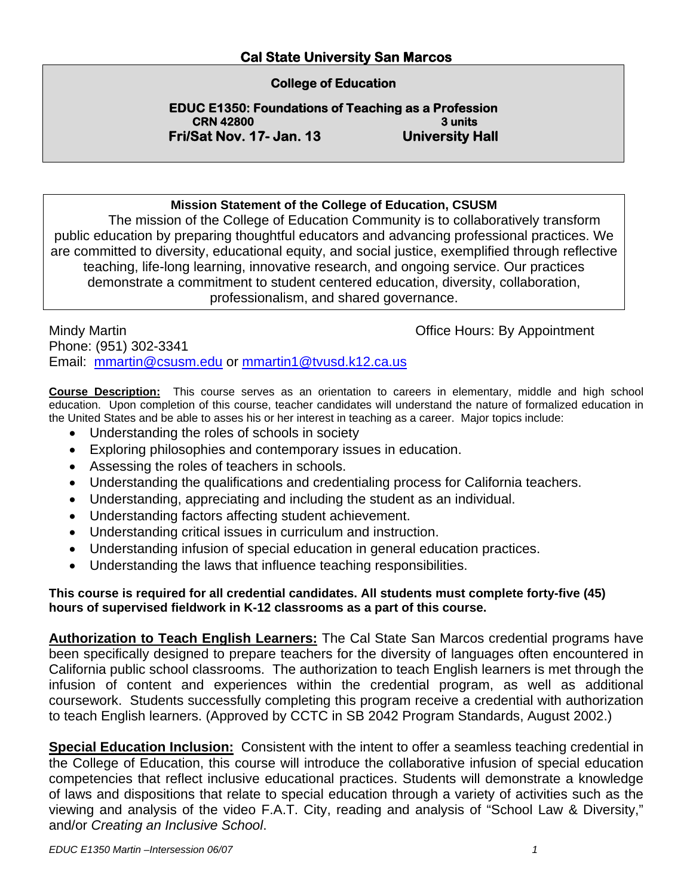#### **Cal State University San Marcos**

#### **College of Education**

**EDUC E1350: Foundations of Teaching as a Profession CRN 42800** 3 units **Fri/Sat Nov. 17- Jan. 13 University Hall** 

#### **Mission Statement of the College of Education, CSUSM**

The mission of the College of Education Community is to collaboratively transform public education by preparing thoughtful educators and advancing professional practices. We are committed to diversity, educational equity, and social justice, exemplified through reflective teaching, life-long learning, innovative research, and ongoing service. Our practices demonstrate a commitment to student centered education, diversity, collaboration, professionalism, and shared governance.

Mindy Martin **Mindy Martin Mindy Martin Office Hours: By Appointment** Phone: (951) 302-3341 Email: mmartin@csusm.edu or mmartin1@tvusd.k12.ca.us

**Course Description:** This course serves as an orientation to careers in elementary, middle and high school education. Upon completion of this course, teacher candidates will understand the nature of formalized education in the United States and be able to asses his or her interest in teaching as a career. Major topics include:

- Understanding the roles of schools in society
- Exploring philosophies and contemporary issues in education.
- Assessing the roles of teachers in schools.
- Understanding the qualifications and credentialing process for California teachers.
- Understanding, appreciating and including the student as an individual.
- Understanding factors affecting student achievement.
- Understanding critical issues in curriculum and instruction.
- Understanding infusion of special education in general education practices.
- Understanding the laws that influence teaching responsibilities.

#### **This course is required for all credential candidates. All students must complete forty-five (45) hours of supervised fieldwork in K-12 classrooms as a part of this course.**

**Authorization to Teach English Learners:** The Cal State San Marcos credential programs have been specifically designed to prepare teachers for the diversity of languages often encountered in California public school classrooms. The authorization to teach English learners is met through the infusion of content and experiences within the credential program, as well as additional coursework. Students successfully completing this program receive a credential with authorization to teach English learners. (Approved by CCTC in SB 2042 Program Standards, August 2002.)

**Special Education Inclusion:** Consistent with the intent to offer a seamless teaching credential in the College of Education, this course will introduce the collaborative infusion of special education competencies that reflect inclusive educational practices. Students will demonstrate a knowledge of laws and dispositions that relate to special education through a variety of activities such as the viewing and analysis of the video F.A.T. City, reading and analysis of "School Law & Diversity," and/or *Creating an Inclusive School*.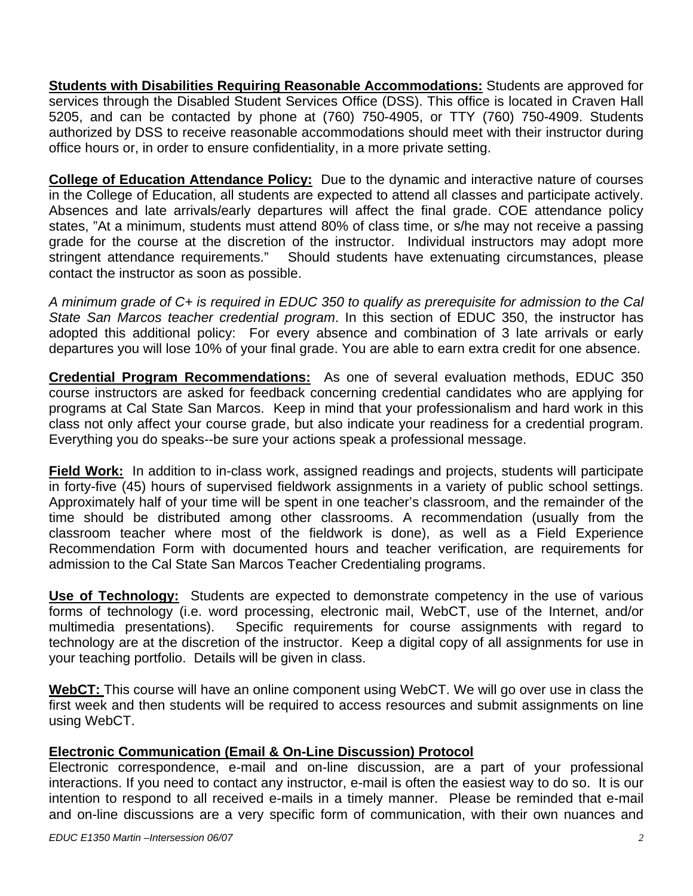**Students with Disabilities Requiring Reasonable Accommodations:** Students are approved for services through the Disabled Student Services Office (DSS). This office is located in Craven Hall 5205, and can be contacted by phone at (760) 750-4905, or TTY (760) 750-4909. Students authorized by DSS to receive reasonable accommodations should meet with their instructor during office hours or, in order to ensure confidentiality, in a more private setting.

**College of Education Attendance Policy:** Due to the dynamic and interactive nature of courses in the College of Education, all students are expected to attend all classes and participate actively. Absences and late arrivals/early departures will affect the final grade. COE attendance policy states, "At a minimum, students must attend 80% of class time, or s/he may not receive a passing grade for the course at the discretion of the instructor. Individual instructors may adopt more stringent attendance requirements." Should students have extenuating circumstances, please contact the instructor as soon as possible.

*A minimum grade of C+ is required in EDUC 350 to qualify as prerequisite for admission to the Cal State San Marcos teacher credential program*. In this section of EDUC 350, the instructor has adopted this additional policy: For every absence and combination of 3 late arrivals or early departures you will lose 10% of your final grade. You are able to earn extra credit for one absence.

**Credential Program Recommendations:** As one of several evaluation methods, EDUC 350 course instructors are asked for feedback concerning credential candidates who are applying for programs at Cal State San Marcos. Keep in mind that your professionalism and hard work in this class not only affect your course grade, but also indicate your readiness for a credential program. Everything you do speaks--be sure your actions speak a professional message.

**Field Work:** In addition to in-class work, assigned readings and projects, students will participate in forty-five (45) hours of supervised fieldwork assignments in a variety of public school settings. Approximately half of your time will be spent in one teacher's classroom, and the remainder of the time should be distributed among other classrooms. A recommendation (usually from the classroom teacher where most of the fieldwork is done), as well as a Field Experience Recommendation Form with documented hours and teacher verification, are requirements for admission to the Cal State San Marcos Teacher Credentialing programs.

**Use of Technology:** Students are expected to demonstrate competency in the use of various forms of technology (i.e. word processing, electronic mail, WebCT, use of the Internet, and/or multimedia presentations). Specific requirements for course assignments with regard to technology are at the discretion of the instructor. Keep a digital copy of all assignments for use in your teaching portfolio. Details will be given in class.

**WebCT:** This course will have an online component using WebCT. We will go over use in class the first week and then students will be required to access resources and submit assignments on line using WebCT.

# **Electronic Communication (Email & On-Line Discussion) Protocol**

Electronic correspondence, e-mail and on-line discussion, are a part of your professional interactions. If you need to contact any instructor, e-mail is often the easiest way to do so. It is our intention to respond to all received e-mails in a timely manner. Please be reminded that e-mail and on-line discussions are a very specific form of communication, with their own nuances and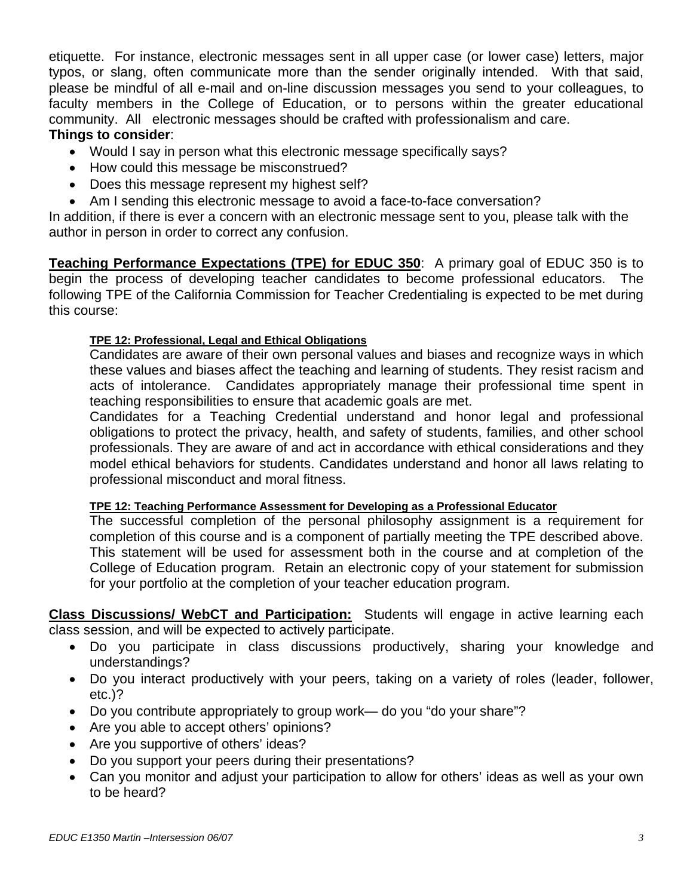etiquette. For instance, electronic messages sent in all upper case (or lower case) letters, major typos, or slang, often communicate more than the sender originally intended. With that said, please be mindful of all e-mail and on-line discussion messages you send to your colleagues, to faculty members in the College of Education, or to persons within the greater educational community. All electronic messages should be crafted with professionalism and care. **Things to consider**:

- Would I say in person what this electronic message specifically says?
- How could this message be misconstrued?
- Does this message represent my highest self?
- Am I sending this electronic message to avoid a face-to-face conversation?

In addition, if there is ever a concern with an electronic message sent to you, please talk with the author in person in order to correct any confusion.

**Teaching Performance Expectations (TPE) for EDUC 350**: A primary goal of EDUC 350 is to begin the process of developing teacher candidates to become professional educators. The following TPE of the California Commission for Teacher Credentialing is expected to be met during this course:

#### **TPE 12: Professional, Legal and Ethical Obligations**

Candidates are aware of their own personal values and biases and recognize ways in which these values and biases affect the teaching and learning of students. They resist racism and acts of intolerance. Candidates appropriately manage their professional time spent in teaching responsibilities to ensure that academic goals are met.

Candidates for a Teaching Credential understand and honor legal and professional obligations to protect the privacy, health, and safety of students, families, and other school professionals. They are aware of and act in accordance with ethical considerations and they model ethical behaviors for students. Candidates understand and honor all laws relating to professional misconduct and moral fitness.

#### **TPE 12: Teaching Performance Assessment for Developing as a Professional Educator**

The successful completion of the personal philosophy assignment is a requirement for completion of this course and is a component of partially meeting the TPE described above. This statement will be used for assessment both in the course and at completion of the College of Education program. Retain an electronic copy of your statement for submission for your portfolio at the completion of your teacher education program.

**Class Discussions/ WebCT and Participation:** Students will engage in active learning each class session, and will be expected to actively participate.

- Do you participate in class discussions productively, sharing your knowledge and understandings?
- Do you interact productively with your peers, taking on a variety of roles (leader, follower, etc.)?
- Do you contribute appropriately to group work— do you "do your share"?
- Are you able to accept others' opinions?
- Are you supportive of others' ideas?
- Do you support your peers during their presentations?
- Can you monitor and adjust your participation to allow for others' ideas as well as your own to be heard?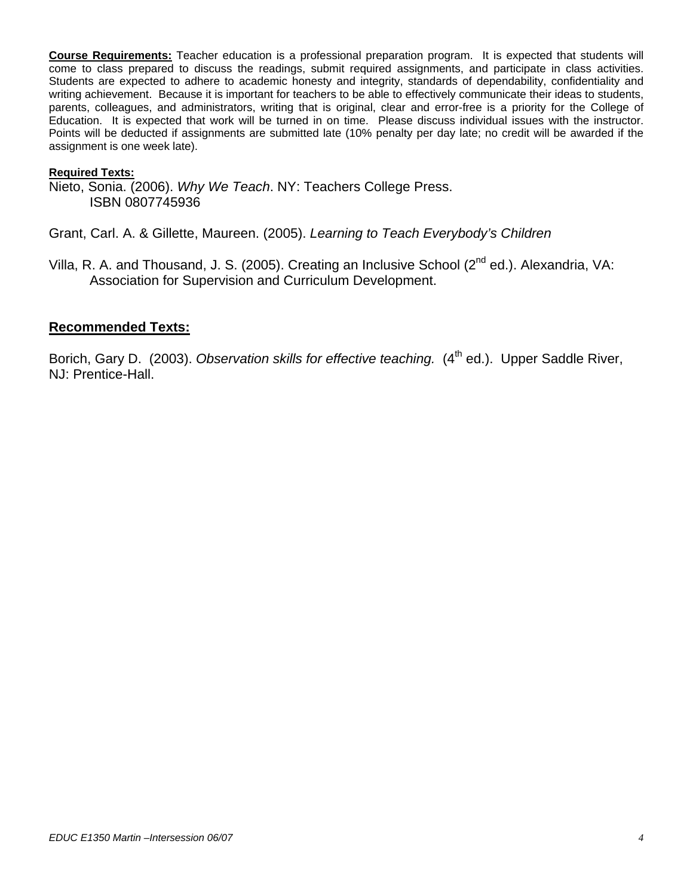**Course Requirements:** Teacher education is a professional preparation program. It is expected that students will come to class prepared to discuss the readings, submit required assignments, and participate in class activities. Students are expected to adhere to academic honesty and integrity, standards of dependability, confidentiality and writing achievement. Because it is important for teachers to be able to effectively communicate their ideas to students, parents, colleagues, and administrators, writing that is original, clear and error-free is a priority for the College of Education. It is expected that work will be turned in on time. Please discuss individual issues with the instructor. Points will be deducted if assignments are submitted late (10% penalty per day late; no credit will be awarded if the assignment is one week late).

#### **Required Texts:**

Nieto, Sonia. (2006). *Why We Teach*. NY: Teachers College Press. ISBN 0807745936

Grant, Carl. A. & Gillette, Maureen. (2005). *Learning to Teach Everybody's Children* 

Villa, R. A. and Thousand, J. S. (2005). Creating an Inclusive School ( $2^{nd}$  ed.). Alexandria, VA: Association for Supervision and Curriculum Development.

#### **Recommended Texts:**

Borich, Gary D. (2003). *Observation skills for effective teaching.* (4<sup>th</sup> ed.). Upper Saddle River, NJ: Prentice-Hall.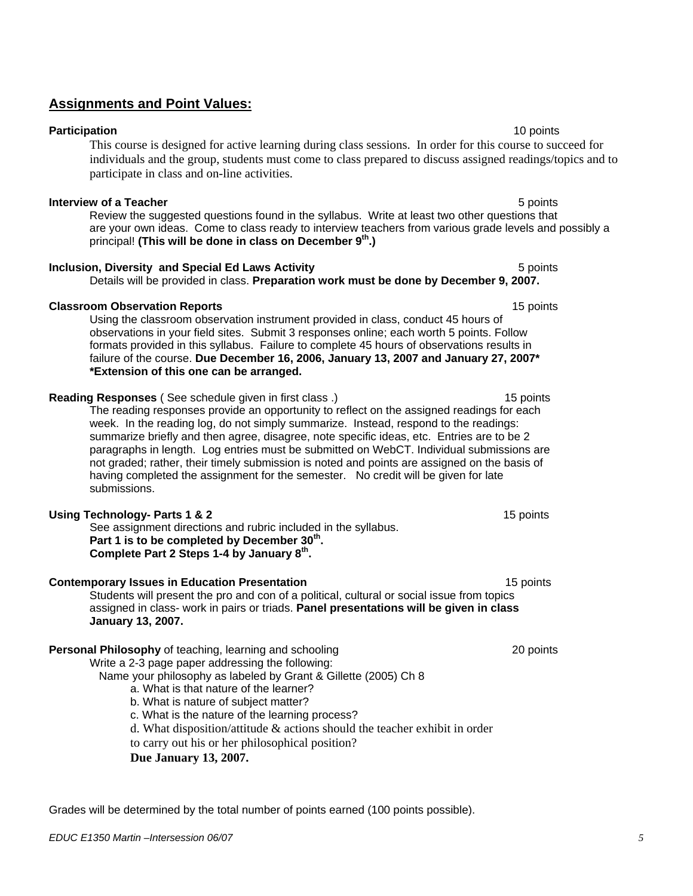# **Assignments and Point Values:**

**Participation 10** points **10** points **10** points **10** points **10** points **10** points This course is designed for active learning during class sessions. In order for this course to succeed for individuals and the group, students must come to class prepared to discuss assigned readings/topics and to participate in class and on-line activities.

#### **Interview of a Teacher Interview of a Teacher 5 points**

Review the suggested questions found in the syllabus. Write at least two other questions that are your own ideas. Come to class ready to interview teachers from various grade levels and possibly a principal! **(This will be done in class on December 9<sup>th</sup>.)** 

## **Inclusion, Diversity and Special Ed Laws Activity 5 points 5 points 5 points**

Details will be provided in class. **Preparation work must be done by December 9, 2007.** 

## **Classroom Observation Reports** 15 **points** 15 points 15 points

Using the classroom observation instrument provided in class, conduct 45 hours of observations in your field sites. Submit 3 responses online; each worth 5 points. Follow formats provided in this syllabus. Failure to complete 45 hours of observations results in failure of the course. **Due December 16, 2006, January 13, 2007 and January 27, 2007\* \*Extension of this one can be arranged.** 

# **Reading Responses** (See schedule given in first class .) 15 points

The reading responses provide an opportunity to reflect on the assigned readings for each week. In the reading log, do not simply summarize. Instead, respond to the readings: summarize briefly and then agree, disagree, note specific ideas, etc. Entries are to be 2 paragraphs in length. Log entries must be submitted on WebCT. Individual submissions are not graded; rather, their timely submission is noted and points are assigned on the basis of having completed the assignment for the semester. No credit will be given for late submissions.

## **Using Technology- Parts 1 & 2** 15 points 1 and 2 and 2 and 2 and 2 and 2 and 2 and 2 and 2 and 2 and 2 and 2 and 2 and 2 and 2 and 2 and 2 and 2 and 2 and 2 and 2 and 2 and 2 and 2 and 2 and 2 and 2 and 2 and 2 and 2 and

 See assignment directions and rubric included in the syllabus.  **Part 1 is to be completed by December 30th. Complete Part 2 Steps 1-4 by January 8th.**

## **Contemporary Issues in Education Presentation 15 points 15 points 15 points**

Students will present the pro and con of a political, cultural or social issue from topics assigned in class- work in pairs or triads. **Panel presentations will be given in class January 13, 2007.** 

# **Personal Philosophy** of teaching, learning and schooling 20 points 20 points

Write a 2-3 page paper addressing the following:

Name your philosophy as labeled by Grant & Gillette (2005) Ch 8

- a. What is that nature of the learner?
- b. What is nature of subject matter?
- c. What is the nature of the learning process?
- d. What disposition/attitude & actions should the teacher exhibit in order

to carry out his or her philosophical position?

## **Due January 13, 2007.**

Grades will be determined by the total number of points earned (100 points possible).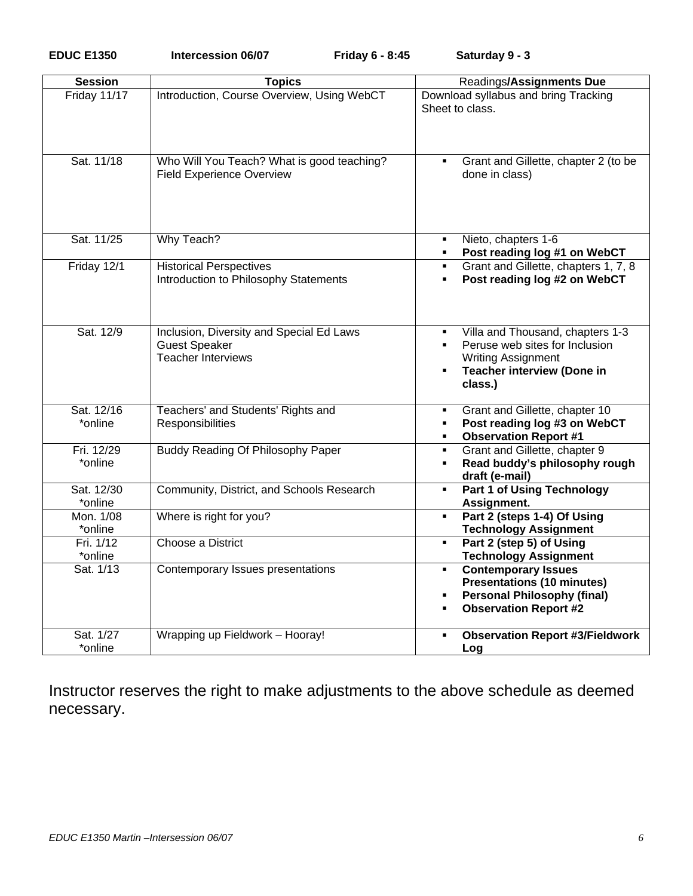| <b>Session</b>        | <b>Topics</b>                                                                                 | Readings/Assignments Due                                                                                                                                                                 |
|-----------------------|-----------------------------------------------------------------------------------------------|------------------------------------------------------------------------------------------------------------------------------------------------------------------------------------------|
| Friday 11/17          | Introduction, Course Overview, Using WebCT                                                    | Download syllabus and bring Tracking<br>Sheet to class.                                                                                                                                  |
| Sat. 11/18            | Who Will You Teach? What is good teaching?<br><b>Field Experience Overview</b>                | Grant and Gillette, chapter 2 (to be<br>done in class)                                                                                                                                   |
| Sat. 11/25            | Why Teach?                                                                                    | Nieto, chapters 1-6<br>$\blacksquare$<br>Post reading log #1 on WebCT<br>$\blacksquare$                                                                                                  |
| Friday 12/1           | <b>Historical Perspectives</b><br>Introduction to Philosophy Statements                       | Grant and Gillette, chapters 1, 7, 8<br>$\blacksquare$<br>Post reading log #2 on WebCT<br>$\blacksquare$                                                                                 |
| Sat. 12/9             | Inclusion, Diversity and Special Ed Laws<br><b>Guest Speaker</b><br><b>Teacher Interviews</b> | Villa and Thousand, chapters 1-3<br>٠<br>Peruse web sites for Inclusion<br>$\blacksquare$<br><b>Writing Assignment</b><br><b>Teacher interview (Done in</b><br>$\blacksquare$<br>class.) |
| Sat. 12/16            | Teachers' and Students' Rights and                                                            | Grant and Gillette, chapter 10<br>٠                                                                                                                                                      |
| *online               | Responsibilities                                                                              | Post reading log #3 on WebCT<br>$\blacksquare$<br><b>Observation Report #1</b><br>$\blacksquare$                                                                                         |
| Fri. 12/29<br>*online | <b>Buddy Reading Of Philosophy Paper</b>                                                      | Grant and Gillette, chapter 9<br>$\blacksquare$<br>Read buddy's philosophy rough<br>$\blacksquare$<br>draft (e-mail)                                                                     |
| Sat. 12/30<br>*online | Community, District, and Schools Research                                                     | <b>Part 1 of Using Technology</b><br>$\blacksquare$<br>Assignment.                                                                                                                       |
| Mon. 1/08<br>*online  | Where is right for you?                                                                       | Part 2 (steps 1-4) Of Using<br>$\blacksquare$<br><b>Technology Assignment</b>                                                                                                            |
| Fri. 1/12<br>*online  | Choose a District                                                                             | Part 2 (step 5) of Using<br>٠<br><b>Technology Assignment</b>                                                                                                                            |
| Sat. 1/13             | Contemporary Issues presentations                                                             | <b>Contemporary Issues</b><br>$\blacksquare$<br><b>Presentations (10 minutes)</b><br><b>Personal Philosophy (final)</b><br>$\blacksquare$<br><b>Observation Report #2</b><br>٠           |
| Sat. 1/27<br>*online  | Wrapping up Fieldwork - Hooray!                                                               | <b>Observation Report #3/Fieldwork</b><br>٠<br>Log                                                                                                                                       |

Instructor reserves the right to make adjustments to the above schedule as deemed necessary.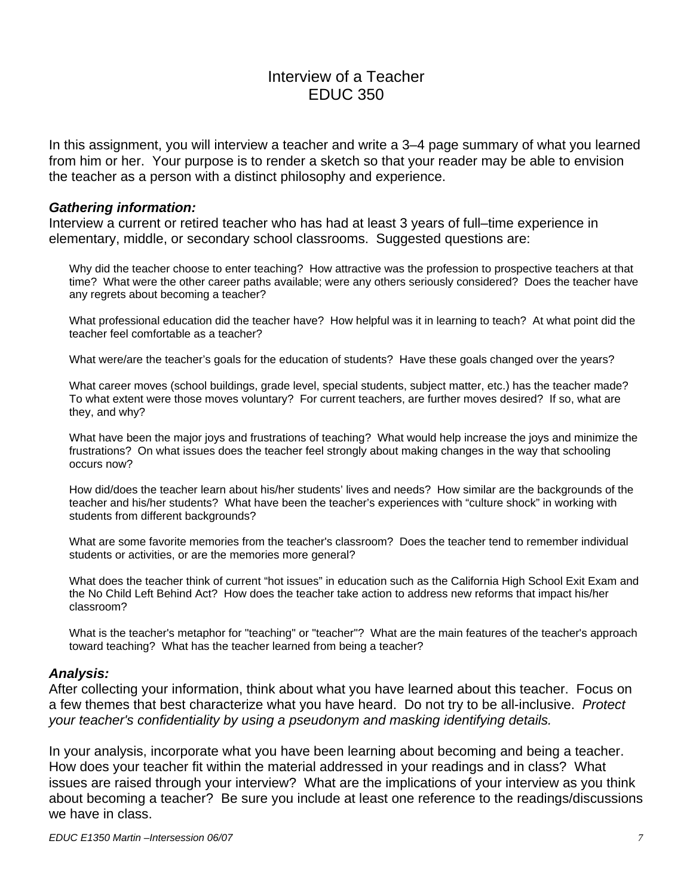# Interview of a Teacher EDUC 350

In this assignment, you will interview a teacher and write a 3–4 page summary of what you learned from him or her. Your purpose is to render a sketch so that your reader may be able to envision the teacher as a person with a distinct philosophy and experience.

#### *Gathering information:*

Interview a current or retired teacher who has had at least 3 years of full–time experience in elementary, middle, or secondary school classrooms. Suggested questions are:

Why did the teacher choose to enter teaching? How attractive was the profession to prospective teachers at that time? What were the other career paths available; were any others seriously considered? Does the teacher have any regrets about becoming a teacher?

What professional education did the teacher have? How helpful was it in learning to teach? At what point did the teacher feel comfortable as a teacher?

What were/are the teacher's goals for the education of students? Have these goals changed over the years?

What career moves (school buildings, grade level, special students, subject matter, etc.) has the teacher made? To what extent were those moves voluntary? For current teachers, are further moves desired? If so, what are they, and why?

What have been the major joys and frustrations of teaching? What would help increase the joys and minimize the frustrations? On what issues does the teacher feel strongly about making changes in the way that schooling occurs now?

How did/does the teacher learn about his/her students' lives and needs? How similar are the backgrounds of the teacher and his/her students? What have been the teacher's experiences with "culture shock" in working with students from different backgrounds?

What are some favorite memories from the teacher's classroom? Does the teacher tend to remember individual students or activities, or are the memories more general?

What does the teacher think of current "hot issues" in education such as the California High School Exit Exam and the No Child Left Behind Act? How does the teacher take action to address new reforms that impact his/her classroom?

What is the teacher's metaphor for "teaching" or "teacher"? What are the main features of the teacher's approach toward teaching? What has the teacher learned from being a teacher?

#### *Analysis:*

After collecting your information, think about what you have learned about this teacher. Focus on a few themes that best characterize what you have heard. Do not try to be all-inclusive. *Protect your teacher's confidentiality by using a pseudonym and masking identifying details.* 

In your analysis, incorporate what you have been learning about becoming and being a teacher. How does your teacher fit within the material addressed in your readings and in class? What issues are raised through your interview? What are the implications of your interview as you think about becoming a teacher? Be sure you include at least one reference to the readings/discussions we have in class.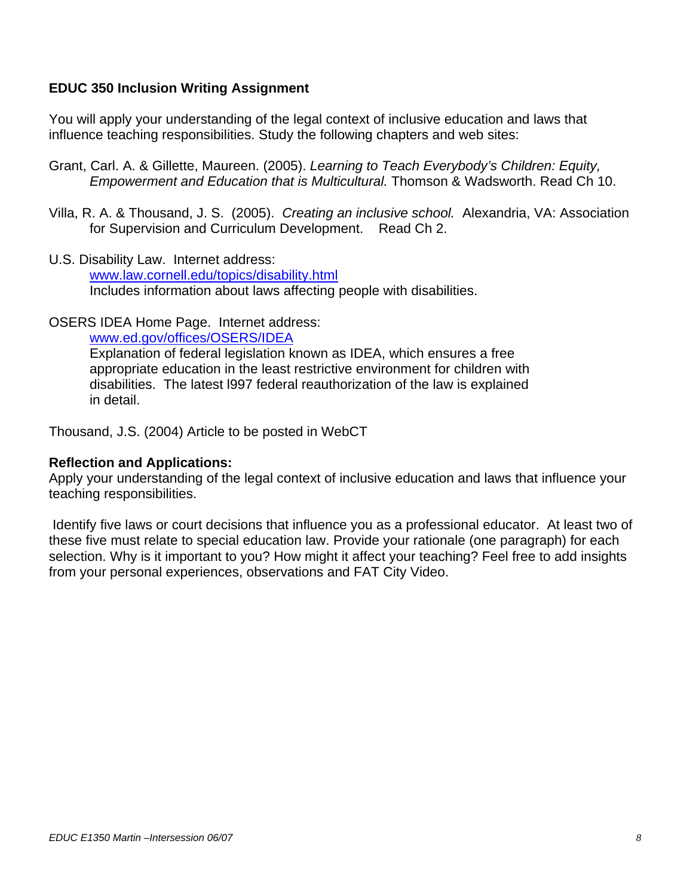## **EDUC 350 Inclusion Writing Assignment**

You will apply your understanding of the legal context of inclusive education and laws that influence teaching responsibilities. Study the following chapters and web sites:

- Grant, Carl. A. & Gillette, Maureen. (2005). *Learning to Teach Everybody's Children: Equity, Empowerment and Education that is Multicultural.* Thomson & Wadsworth. Read Ch 10.
- Villa, R. A. & Thousand, J. S. (2005). *Creating an inclusive school.* Alexandria, VA: Association for Supervision and Curriculum Development. Read Ch 2.
- U.S. Disability Law. Internet address:

www.law.cornell.edu/topics/disability.html Includes information about laws affecting people with disabilities.

OSERS IDEA Home Page. Internet address:

www.ed.gov/offices/OSERS/IDEA

Explanation of federal legislation known as IDEA, which ensures a free appropriate education in the least restrictive environment for children with disabilities. The latest l997 federal reauthorization of the law is explained in detail.

Thousand, J.S. (2004) Article to be posted in WebCT

#### **Reflection and Applications:**

Apply your understanding of the legal context of inclusive education and laws that influence your teaching responsibilities.

 Identify five laws or court decisions that influence you as a professional educator. At least two of these five must relate to special education law. Provide your rationale (one paragraph) for each selection. Why is it important to you? How might it affect your teaching? Feel free to add insights from your personal experiences, observations and FAT City Video.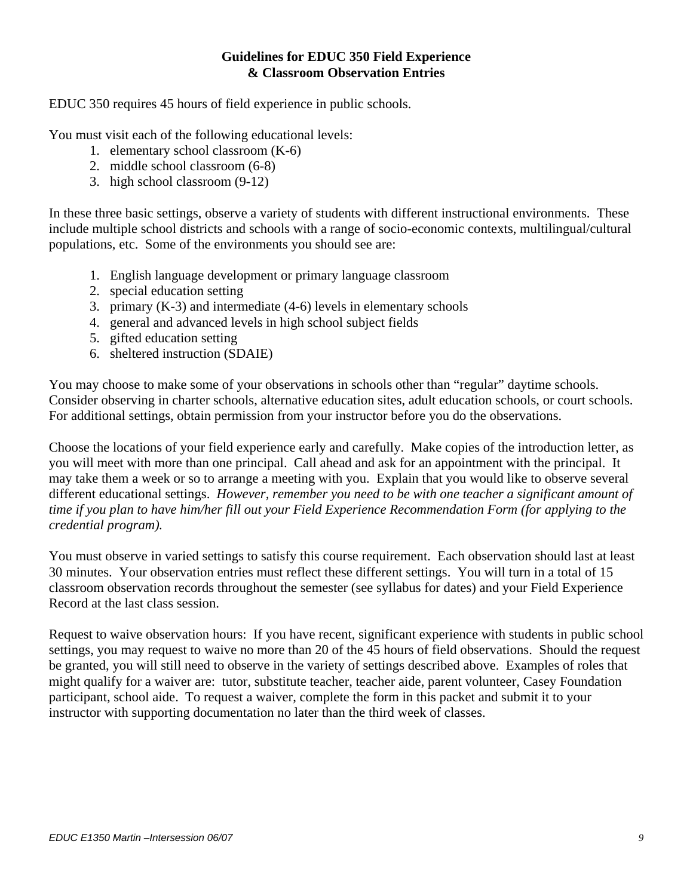### **Guidelines for EDUC 350 Field Experience & Classroom Observation Entries**

EDUC 350 requires 45 hours of field experience in public schools.

You must visit each of the following educational levels:

- 1. elementary school classroom (K-6)
- 2. middle school classroom (6-8)
- 3. high school classroom (9-12)

In these three basic settings, observe a variety of students with different instructional environments. These include multiple school districts and schools with a range of socio-economic contexts, multilingual/cultural populations, etc. Some of the environments you should see are:

- 1. English language development or primary language classroom
- 2. special education setting
- 3. primary (K-3) and intermediate (4-6) levels in elementary schools
- 4. general and advanced levels in high school subject fields
- 5. gifted education setting
- 6. sheltered instruction (SDAIE)

You may choose to make some of your observations in schools other than "regular" daytime schools. Consider observing in charter schools, alternative education sites, adult education schools, or court schools. For additional settings, obtain permission from your instructor before you do the observations.

Choose the locations of your field experience early and carefully. Make copies of the introduction letter, as you will meet with more than one principal. Call ahead and ask for an appointment with the principal. It may take them a week or so to arrange a meeting with you. Explain that you would like to observe several different educational settings. *However, remember you need to be with one teacher a significant amount of time if you plan to have him/her fill out your Field Experience Recommendation Form (for applying to the credential program).* 

You must observe in varied settings to satisfy this course requirement. Each observation should last at least 30 minutes. Your observation entries must reflect these different settings. You will turn in a total of 15 classroom observation records throughout the semester (see syllabus for dates) and your Field Experience Record at the last class session.

Request to waive observation hours: If you have recent, significant experience with students in public school settings, you may request to waive no more than 20 of the 45 hours of field observations. Should the request be granted, you will still need to observe in the variety of settings described above. Examples of roles that might qualify for a waiver are: tutor, substitute teacher, teacher aide, parent volunteer, Casey Foundation participant, school aide. To request a waiver, complete the form in this packet and submit it to your instructor with supporting documentation no later than the third week of classes.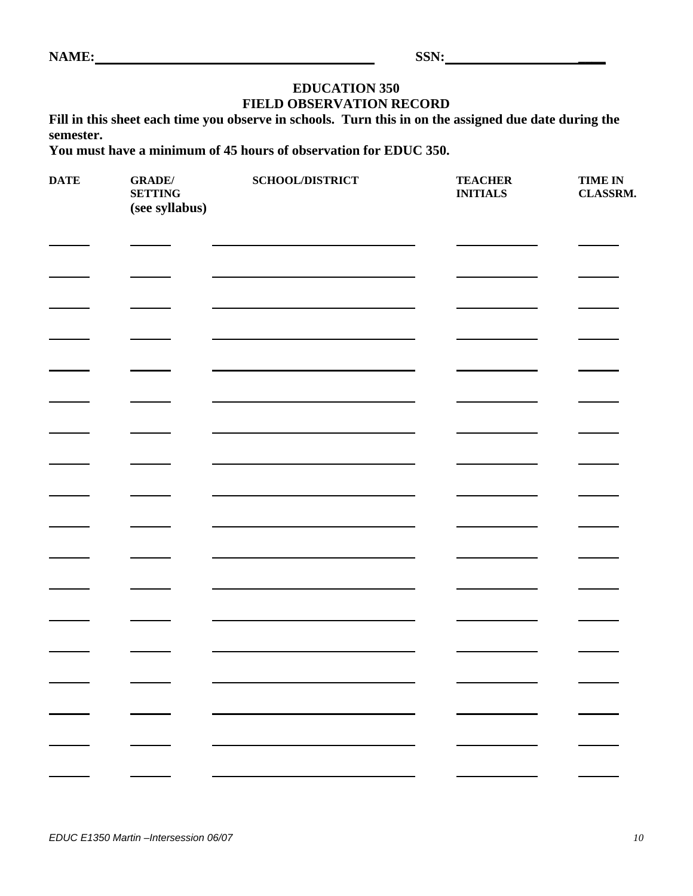| ┍ | . IVI | I. |  |
|---|-------|----|--|
|   |       |    |  |

**NAME: SSN: \_\_\_\_** 

# **EDUCATION 350 FIELD OBSERVATION RECORD**

**Fill in this sheet each time you observe in schools. Turn this in on the assigned due date during the semester.** 

**You must have a minimum of 45 hours of observation for EDUC 350.** 

| $\mathbf{DATE}$ | <b>GRADE</b> /<br><b>SETTING</b><br>(see syllabus) | SCHOOL/DISTRICT | <b>TEACHER</b><br><b>INITIALS</b> | <b>TIME IN</b><br>CLASSRM. |
|-----------------|----------------------------------------------------|-----------------|-----------------------------------|----------------------------|
|                 |                                                    |                 |                                   |                            |
|                 |                                                    |                 |                                   |                            |
|                 |                                                    |                 |                                   |                            |
|                 |                                                    |                 |                                   |                            |
|                 |                                                    |                 |                                   |                            |
|                 |                                                    |                 |                                   |                            |
|                 |                                                    |                 |                                   |                            |
|                 |                                                    |                 |                                   |                            |
|                 |                                                    |                 |                                   |                            |
|                 |                                                    |                 |                                   |                            |
|                 |                                                    |                 |                                   |                            |
|                 |                                                    |                 |                                   |                            |
|                 |                                                    |                 |                                   |                            |
|                 |                                                    |                 |                                   |                            |
|                 |                                                    |                 |                                   |                            |
|                 |                                                    |                 |                                   |                            |
|                 |                                                    |                 |                                   |                            |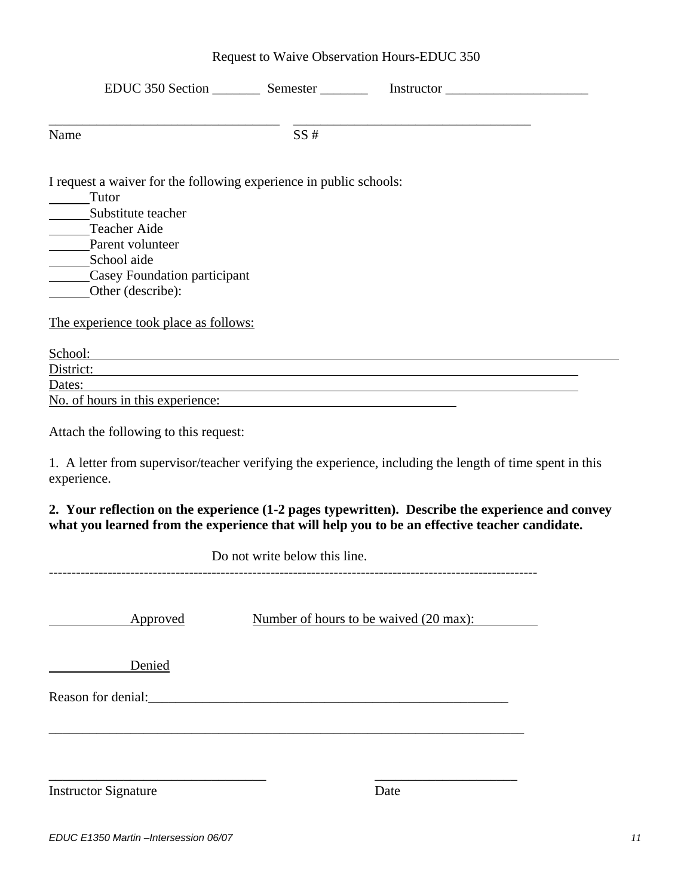| Request to Waive Observation Hours-EDUC 350 |
|---------------------------------------------|
|---------------------------------------------|

|                                                                                                                                                                                                                                |                               | EDUC 350 Section ___________ Semester ______________ Instructor _________________                                                                                                                 |  |
|--------------------------------------------------------------------------------------------------------------------------------------------------------------------------------------------------------------------------------|-------------------------------|---------------------------------------------------------------------------------------------------------------------------------------------------------------------------------------------------|--|
|                                                                                                                                                                                                                                |                               |                                                                                                                                                                                                   |  |
| Name                                                                                                                                                                                                                           | SS#                           |                                                                                                                                                                                                   |  |
| I request a waiver for the following experience in public schools:<br>_______Tutor                                                                                                                                             |                               |                                                                                                                                                                                                   |  |
| Substitute teacher                                                                                                                                                                                                             |                               |                                                                                                                                                                                                   |  |
| Teacher Aide                                                                                                                                                                                                                   |                               |                                                                                                                                                                                                   |  |
| Parent volunteer                                                                                                                                                                                                               |                               |                                                                                                                                                                                                   |  |
| School aide                                                                                                                                                                                                                    |                               |                                                                                                                                                                                                   |  |
| Casey Foundation participant                                                                                                                                                                                                   |                               |                                                                                                                                                                                                   |  |
| Other (describe):                                                                                                                                                                                                              |                               |                                                                                                                                                                                                   |  |
| The experience took place as follows:                                                                                                                                                                                          |                               |                                                                                                                                                                                                   |  |
| School: School: School: School: School: School: School: School: School: School: School: School: School: School: School: School: School: School: School: School: School: School: School: School: School: School: School: School |                               |                                                                                                                                                                                                   |  |
|                                                                                                                                                                                                                                |                               | District: District:                                                                                                                                                                               |  |
| Dates:                                                                                                                                                                                                                         |                               | <u> 1989 - Johann Stoff, amerikansk politiker (d. 1989)</u>                                                                                                                                       |  |
| No. of hours in this experience:                                                                                                                                                                                               |                               |                                                                                                                                                                                                   |  |
| Attach the following to this request:                                                                                                                                                                                          |                               |                                                                                                                                                                                                   |  |
| experience.                                                                                                                                                                                                                    |                               | 1. A letter from supervisor/teacher verifying the experience, including the length of time spent in this                                                                                          |  |
|                                                                                                                                                                                                                                |                               | 2. Your reflection on the experience (1-2 pages typewritten). Describe the experience and convey<br>what you learned from the experience that will help you to be an effective teacher candidate. |  |
|                                                                                                                                                                                                                                | Do not write below this line. |                                                                                                                                                                                                   |  |
|                                                                                                                                                                                                                                |                               |                                                                                                                                                                                                   |  |
| Approved                                                                                                                                                                                                                       |                               | Number of hours to be waived (20 max):                                                                                                                                                            |  |
| Denied                                                                                                                                                                                                                         |                               |                                                                                                                                                                                                   |  |
|                                                                                                                                                                                                                                |                               |                                                                                                                                                                                                   |  |
|                                                                                                                                                                                                                                |                               |                                                                                                                                                                                                   |  |
|                                                                                                                                                                                                                                |                               |                                                                                                                                                                                                   |  |
| <b>Instructor Signature</b>                                                                                                                                                                                                    |                               | Date                                                                                                                                                                                              |  |
|                                                                                                                                                                                                                                |                               |                                                                                                                                                                                                   |  |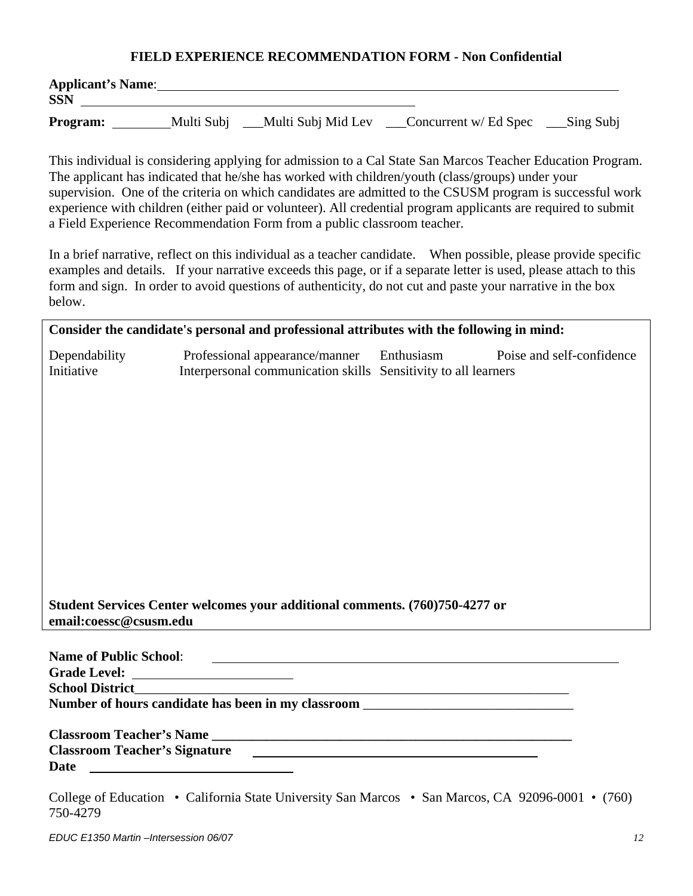#### **FIELD EXPERIENCE RECOMMENDATION FORM - Non Confidential**

| <b>Applicant's Name:</b><br><b>SSN</b> |            |                     |                       |            |
|----------------------------------------|------------|---------------------|-----------------------|------------|
| <b>Program:</b>                        | Multi Subj | _Multi Subj Mid Lev | Concurrent w/ Ed Spec | _Sing Subj |

This individual is considering applying for admission to a Cal State San Marcos Teacher Education Program. The applicant has indicated that he/she has worked with children/youth (class/groups) under your supervision. One of the criteria on which candidates are admitted to the CSUSM program is successful work experience with children (either paid or volunteer). All credential program applicants are required to submit a Field Experience Recommendation Form from a public classroom teacher.

 In a brief narrative, reflect on this individual as a teacher candidate. When possible, please provide specific examples and details. If your narrative exceeds this page, or if a separate letter is used, please attach to this form and sign. In order to avoid questions of authenticity, do not cut and paste your narrative in the box below.

|                             | Consider the candidate's personal and professional attributes with the following in mind:                                               |  |
|-----------------------------|-----------------------------------------------------------------------------------------------------------------------------------------|--|
| Dependability<br>Initiative | Professional appearance/manner Enthusiasm Poise and self-confidence<br>Interpersonal communication skills Sensitivity to all learners   |  |
|                             |                                                                                                                                         |  |
|                             |                                                                                                                                         |  |
|                             |                                                                                                                                         |  |
|                             |                                                                                                                                         |  |
|                             |                                                                                                                                         |  |
|                             |                                                                                                                                         |  |
| email:coessc@csusm.edu      | Student Services Center welcomes your additional comments. (760)750-4277 or<br><u> 1980 - John Stone, amerikansk politiker († 1900)</u> |  |
|                             |                                                                                                                                         |  |
| <b>School District</b>      |                                                                                                                                         |  |
|                             | Number of hours candidate has been in my classroom _____________________________                                                        |  |
|                             |                                                                                                                                         |  |
| Date                        | Classroom Teacher's Signature                                                                                                           |  |

College of Education • California State University San Marcos • San Marcos, CA 92096-0001 • (760) 750-4279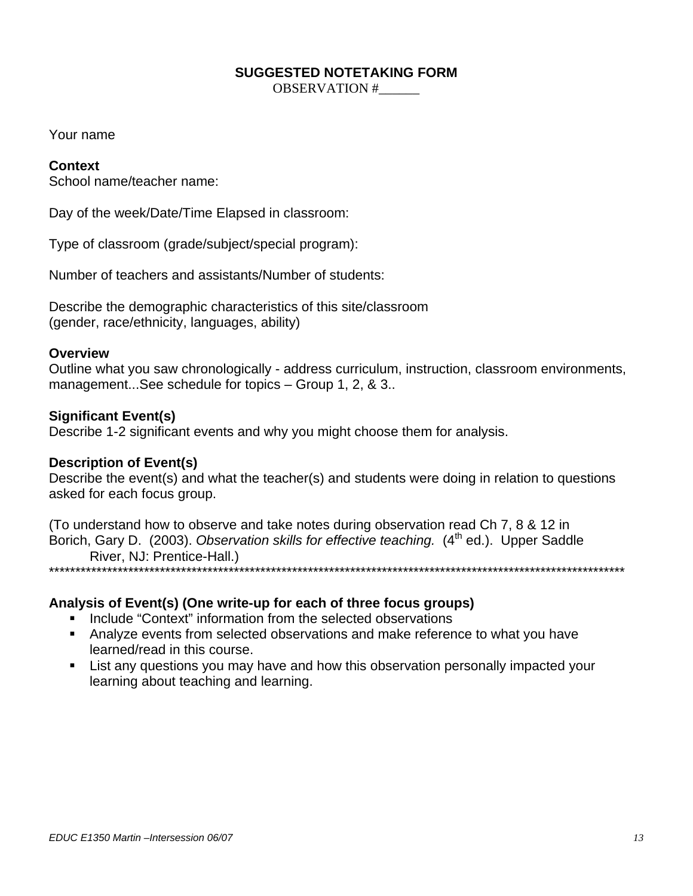#### **SUGGESTED NOTETAKING FORM**

OBSERVATION #\_\_\_\_\_\_

Your name

#### **Context**

School name/teacher name:

Day of the week/Date/Time Elapsed in classroom:

Type of classroom (grade/subject/special program):

Number of teachers and assistants/Number of students:

Describe the demographic characteristics of this site/classroom (gender, race/ethnicity, languages, ability)

#### **Overview**

Outline what you saw chronologically - address curriculum, instruction, classroom environments, management...See schedule for topics – Group 1, 2, & 3..

#### **Significant Event(s)**

Describe 1-2 significant events and why you might choose them for analysis.

#### **Description of Event(s)**

Describe the event(s) and what the teacher(s) and students were doing in relation to questions asked for each focus group.

(To understand how to observe and take notes during observation read Ch 7, 8 & 12 in Borich, Gary D. (2003). Observation skills for effective teaching. (4<sup>th</sup> ed.). Upper Saddle River, NJ: Prentice-Hall.) \*\*\*\*\*\*\*\*\*\*\*\*\*\*\*\*\*\*\*\*\*\*\*\*\*\*\*\*\*\*\*\*\*\*\*\*\*\*\*\*\*\*\*\*\*\*\*\*\*\*\*\*\*\*\*\*\*\*\*\*\*\*\*\*\*\*\*\*\*\*\*\*\*\*\*\*\*\*\*\*\*\*\*\*\*\*\*\*\*\*\*\*\*\*\*\*\*\*\*\*\*\*\*\*\*\*\*\*\*

#### **Analysis of Event(s) (One write-up for each of three focus groups)**

- **Include "Context" information from the selected observations**
- Analyze events from selected observations and make reference to what you have learned/read in this course.
- **EXTE:** List any questions you may have and how this observation personally impacted your learning about teaching and learning.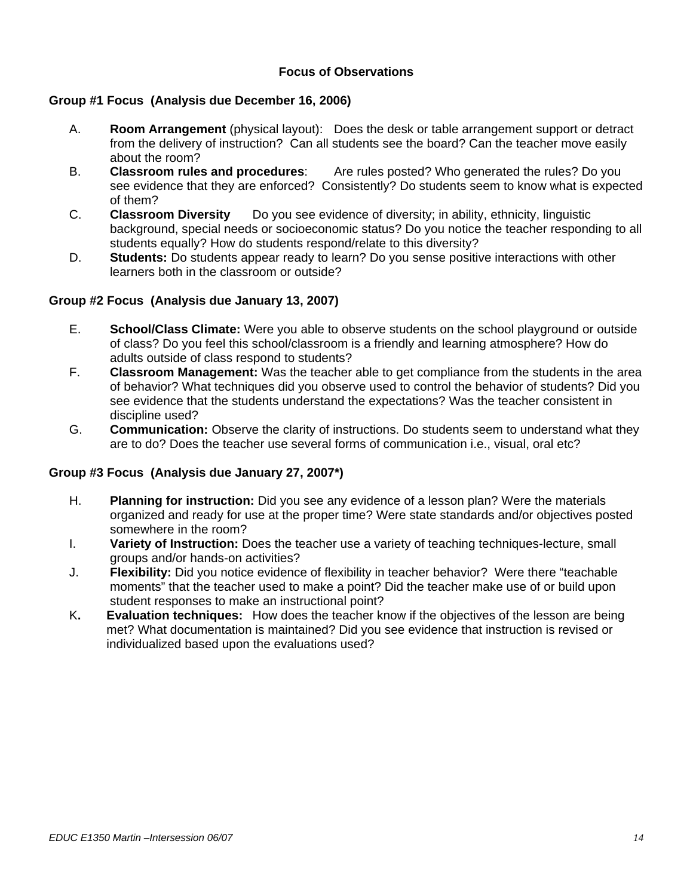#### **Focus of Observations**

#### **Group #1 Focus (Analysis due December 16, 2006)**

- A. **Room Arrangement** (physical layout): Does the desk or table arrangement support or detract from the delivery of instruction? Can all students see the board? Can the teacher move easily about the room?
- B. **Classroom rules and procedures**: Are rules posted? Who generated the rules? Do you see evidence that they are enforced? Consistently? Do students seem to know what is expected of them?
- C. **Classroom Diversity** Do you see evidence of diversity; in ability, ethnicity, linguistic background, special needs or socioeconomic status? Do you notice the teacher responding to all students equally? How do students respond/relate to this diversity?
- D. **Students:** Do students appear ready to learn? Do you sense positive interactions with other learners both in the classroom or outside?

#### **Group #2 Focus (Analysis due January 13, 2007)**

- E. **School/Class Climate:** Were you able to observe students on the school playground or outside of class? Do you feel this school/classroom is a friendly and learning atmosphere? How do adults outside of class respond to students?
- F. **Classroom Management:** Was the teacher able to get compliance from the students in the area of behavior? What techniques did you observe used to control the behavior of students? Did you see evidence that the students understand the expectations? Was the teacher consistent in discipline used?
- G. **Communication:** Observe the clarity of instructions. Do students seem to understand what they are to do? Does the teacher use several forms of communication i.e., visual, oral etc?

#### **Group #3 Focus (Analysis due January 27, 2007\*)**

- H. **Planning for instruction:** Did you see any evidence of a lesson plan? Were the materials organized and ready for use at the proper time? Were state standards and/or objectives posted somewhere in the room?
- I. **Variety of Instruction:** Does the teacher use a variety of teaching techniques-lecture, small groups and/or hands-on activities?
- J. **Flexibility:** Did you notice evidence of flexibility in teacher behavior? Were there "teachable moments" that the teacher used to make a point? Did the teacher make use of or build upon student responses to make an instructional point?
- K**. Evaluation techniques:** How does the teacher know if the objectives of the lesson are being met? What documentation is maintained? Did you see evidence that instruction is revised or individualized based upon the evaluations used?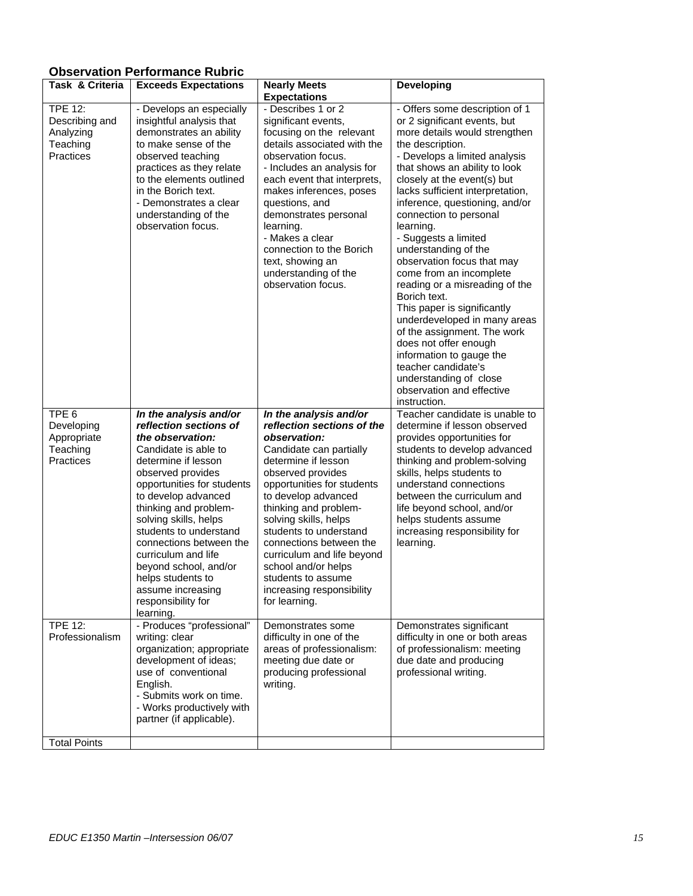# **Observation Performance Rubric**

|                                                                        | ODSEI VALION FENONIMANCE RUDNC                                                                                                                                                                                                                                                                                                                                                                                                    |                                                                                                                                                                                                                                                                                                                                                                                                                                  |                                                                                                                                                                                                                                                                                                                                                                                                                                                                                                                                                                                                                                                                                                                                               |
|------------------------------------------------------------------------|-----------------------------------------------------------------------------------------------------------------------------------------------------------------------------------------------------------------------------------------------------------------------------------------------------------------------------------------------------------------------------------------------------------------------------------|----------------------------------------------------------------------------------------------------------------------------------------------------------------------------------------------------------------------------------------------------------------------------------------------------------------------------------------------------------------------------------------------------------------------------------|-----------------------------------------------------------------------------------------------------------------------------------------------------------------------------------------------------------------------------------------------------------------------------------------------------------------------------------------------------------------------------------------------------------------------------------------------------------------------------------------------------------------------------------------------------------------------------------------------------------------------------------------------------------------------------------------------------------------------------------------------|
| <b>Task &amp; Criteria</b>                                             | <b>Exceeds Expectations</b>                                                                                                                                                                                                                                                                                                                                                                                                       | <b>Nearly Meets</b>                                                                                                                                                                                                                                                                                                                                                                                                              | <b>Developing</b>                                                                                                                                                                                                                                                                                                                                                                                                                                                                                                                                                                                                                                                                                                                             |
| <b>TPE 12:</b><br>Describing and<br>Analyzing<br>Teaching<br>Practices | - Develops an especially<br>insightful analysis that<br>demonstrates an ability<br>to make sense of the<br>observed teaching<br>practices as they relate<br>to the elements outlined<br>in the Borich text.<br>- Demonstrates a clear<br>understanding of the<br>observation focus.                                                                                                                                               | <b>Expectations</b><br>- Describes 1 or 2<br>significant events,<br>focusing on the relevant<br>details associated with the<br>observation focus.<br>- Includes an analysis for<br>each event that interprets,<br>makes inferences, poses<br>questions, and<br>demonstrates personal<br>learning.<br>- Makes a clear<br>connection to the Borich<br>text, showing an<br>understanding of the<br>observation focus.               | - Offers some description of 1<br>or 2 significant events, but<br>more details would strengthen<br>the description.<br>- Develops a limited analysis<br>that shows an ability to look<br>closely at the event(s) but<br>lacks sufficient interpretation,<br>inference, questioning, and/or<br>connection to personal<br>learning.<br>- Suggests a limited<br>understanding of the<br>observation focus that may<br>come from an incomplete<br>reading or a misreading of the<br>Borich text.<br>This paper is significantly<br>underdeveloped in many areas<br>of the assignment. The work<br>does not offer enough<br>information to gauge the<br>teacher candidate's<br>understanding of close<br>observation and effective<br>instruction. |
| TPE <sub>6</sub><br>Developing<br>Appropriate<br>Teaching<br>Practices | In the analysis and/or<br>reflection sections of<br>the observation:<br>Candidate is able to<br>determine if lesson<br>observed provides<br>opportunities for students<br>to develop advanced<br>thinking and problem-<br>solving skills, helps<br>students to understand<br>connections between the<br>curriculum and life<br>beyond school, and/or<br>helps students to<br>assume increasing<br>responsibility for<br>learning. | In the analysis and/or<br>reflection sections of the<br>observation:<br>Candidate can partially<br>determine if lesson<br>observed provides<br>opportunities for students<br>to develop advanced<br>thinking and problem-<br>solving skills, helps<br>students to understand<br>connections between the<br>curriculum and life beyond<br>school and/or helps<br>students to assume<br>increasing responsibility<br>for learning. | Teacher candidate is unable to<br>determine if lesson observed<br>provides opportunities for<br>students to develop advanced<br>thinking and problem-solving<br>skills, helps students to<br>understand connections<br>between the curriculum and<br>life beyond school, and/or<br>helps students assume<br>increasing responsibility for<br>learning.                                                                                                                                                                                                                                                                                                                                                                                        |
| <b>TPE 12:</b><br>Professionalism                                      | - Produces "professional"<br>writing: clear<br>organization; appropriate<br>development of ideas;<br>use of conventional<br>English.<br>- Submits work on time.<br>- Works productively with<br>partner (if applicable).                                                                                                                                                                                                          | Demonstrates some<br>difficulty in one of the<br>areas of professionalism:<br>meeting due date or<br>producing professional<br>writing.                                                                                                                                                                                                                                                                                          | Demonstrates significant<br>difficulty in one or both areas<br>of professionalism: meeting<br>due date and producing<br>professional writing.                                                                                                                                                                                                                                                                                                                                                                                                                                                                                                                                                                                                 |
| <b>Total Points</b>                                                    |                                                                                                                                                                                                                                                                                                                                                                                                                                   |                                                                                                                                                                                                                                                                                                                                                                                                                                  |                                                                                                                                                                                                                                                                                                                                                                                                                                                                                                                                                                                                                                                                                                                                               |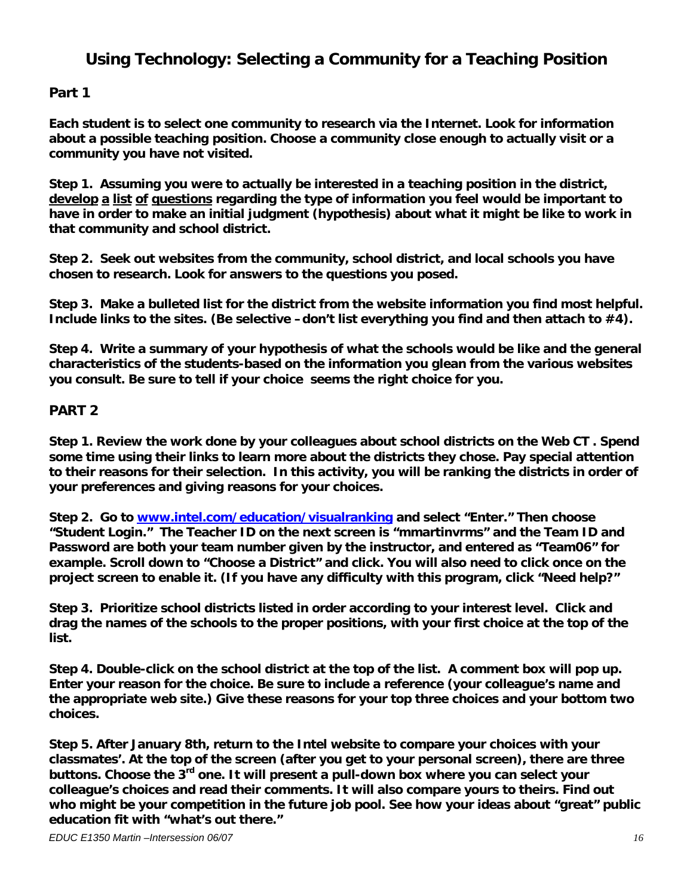# **Using Technology: Selecting a Community for a Teaching Position**

## **Part 1**

**Each student is to select one community to research via the Internet. Look for information about a possible teaching position. Choose a community close enough to actually visit or a community you have not visited.** 

**Step 1. Assuming you were to actually be interested in a teaching position in the district, develop a list of questions regarding the type of information you feel would be important to have in order to make an initial judgment (hypothesis) about what it might be like to work in that community and school district.** 

**Step 2. Seek out websites from the community, school district, and local schools you have chosen to research. Look for answers to the questions you posed.** 

**Step 3. Make a bulleted list for the district from the website information you find most helpful. Include links to the sites. (Be selective –don't list everything you find and then attach to #4).** 

**Step 4. Write a summary of your hypothesis of what the schools would be like and the general characteristics of the students-based on the information you glean from the various websites you consult. Be sure to tell if your choice seems the right choice for you.** 

## **PART 2**

**Step 1. Review the work done by your colleagues about school districts on the Web CT . Spend some time using their links to learn more about the districts they chose. Pay special attention to their reasons for their selection. In this activity, you will be ranking the districts in order of your preferences and giving reasons for your choices.** 

**Step 2. Go to www.intel.com/education/visualranking and select "Enter." Then choose "Student Login." The Teacher ID on the next screen is "mmartinvrms" and the Team ID and Password are both your team number given by the instructor, and entered as "Team06" for example. Scroll down to "Choose a District" and click. You will also need to click once on the project screen to enable it. (If you have any difficulty with this program, click "Need help?"** 

**Step 3. Prioritize school districts listed in order according to your interest level. Click and drag the names of the schools to the proper positions, with your first choice at the top of the list.** 

**Step 4. Double-click on the school district at the top of the list. A comment box will pop up. Enter your reason for the choice. Be sure to include a reference (your colleague's name and the appropriate web site.) Give these reasons for your top three choices and your bottom two choices.** 

**Step 5. After January 8th, return to the Intel website to compare your choices with your classmates'. At the top of the screen (after you get to your personal screen), there are three buttons. Choose the 3rd one. It will present a pull-down box where you can select your colleague's choices and read their comments. It will also compare yours to theirs. Find out who might be your competition in the future job pool. See how your ideas about "great" public education fit with "what's out there."**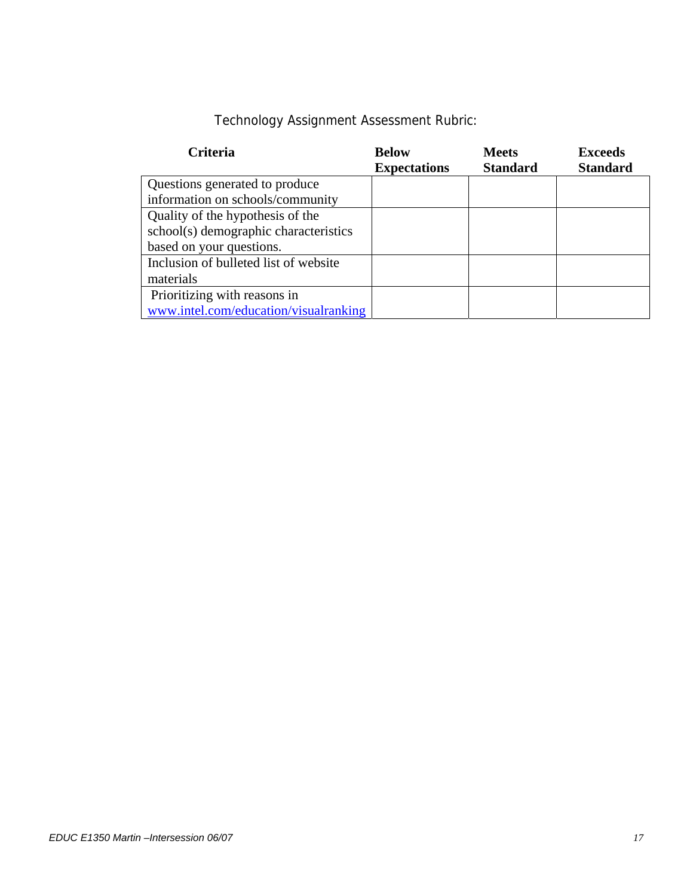# Technology Assignment Assessment Rubric:

| <b>Criteria</b>                       | <b>Below</b>        | <b>Meets</b>    | <b>Exceeds</b>  |
|---------------------------------------|---------------------|-----------------|-----------------|
|                                       | <b>Expectations</b> | <b>Standard</b> | <b>Standard</b> |
| Questions generated to produce        |                     |                 |                 |
| information on schools/community      |                     |                 |                 |
| Quality of the hypothesis of the      |                     |                 |                 |
| school(s) demographic characteristics |                     |                 |                 |
| based on your questions.              |                     |                 |                 |
| Inclusion of bulleted list of website |                     |                 |                 |
| materials                             |                     |                 |                 |
| Prioritizing with reasons in          |                     |                 |                 |
| www.intel.com/education/visualranking |                     |                 |                 |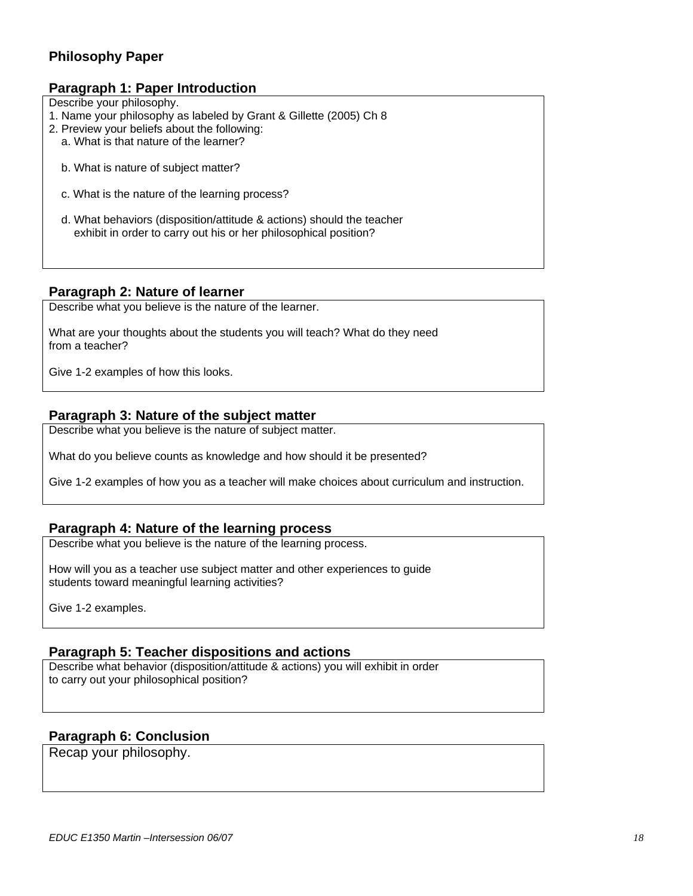# **Philosophy Paper**

#### **Paragraph 1: Paper Introduction**

Describe your philosophy.

- 1. Name your philosophy as labeled by Grant & Gillette (2005) Ch 8
- 2. Preview your beliefs about the following:
	- a. What is that nature of the learner?
	- b. What is nature of subject matter?
	- c. What is the nature of the learning process?
	- d. What behaviors (disposition/attitude & actions) should the teacher exhibit in order to carry out his or her philosophical position?

#### **Paragraph 2: Nature of learner**

Describe what you believe is the nature of the learner.

What are your thoughts about the students you will teach? What do they need from a teacher?

Give 1-2 examples of how this looks.

#### **Paragraph 3: Nature of the subject matter**

Describe what you believe is the nature of subject matter.

What do you believe counts as knowledge and how should it be presented?

Give 1-2 examples of how you as a teacher will make choices about curriculum and instruction.

#### **Paragraph 4: Nature of the learning process**

Describe what you believe is the nature of the learning process.

How will you as a teacher use subject matter and other experiences to guide students toward meaningful learning activities?

Give 1-2 examples.

#### **Paragraph 5: Teacher dispositions and actions**

Describe what behavior (disposition/attitude & actions) you will exhibit in order to carry out your philosophical position?

#### **Paragraph 6: Conclusion**

Recap your philosophy.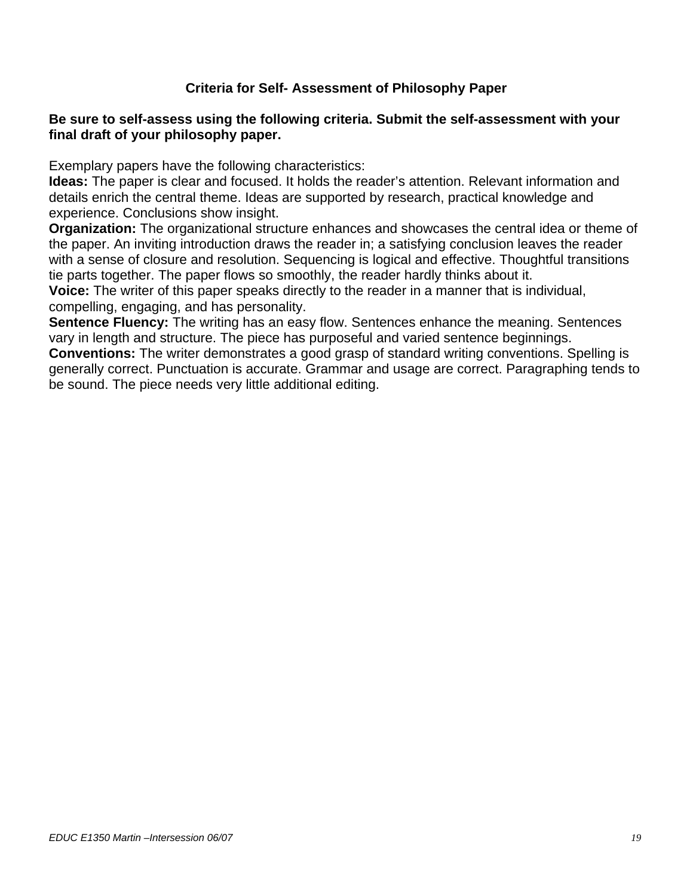# **Criteria for Self- Assessment of Philosophy Paper**

## **Be sure to self-assess using the following criteria. Submit the self-assessment with your final draft of your philosophy paper.**

Exemplary papers have the following characteristics:

**Ideas:** The paper is clear and focused. It holds the reader's attention. Relevant information and details enrich the central theme. Ideas are supported by research, practical knowledge and experience. Conclusions show insight.

**Organization:** The organizational structure enhances and showcases the central idea or theme of the paper. An inviting introduction draws the reader in; a satisfying conclusion leaves the reader with a sense of closure and resolution. Sequencing is logical and effective. Thoughtful transitions tie parts together. The paper flows so smoothly, the reader hardly thinks about it.

**Voice:** The writer of this paper speaks directly to the reader in a manner that is individual, compelling, engaging, and has personality.

**Sentence Fluency:** The writing has an easy flow. Sentences enhance the meaning. Sentences vary in length and structure. The piece has purposeful and varied sentence beginnings. **Conventions:** The writer demonstrates a good grasp of standard writing conventions. Spelling is

generally correct. Punctuation is accurate. Grammar and usage are correct. Paragraphing tends to be sound. The piece needs very little additional editing.